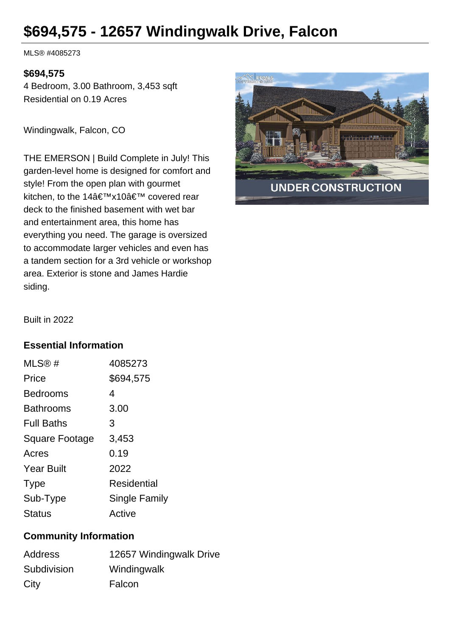# **\$694,575 - 12657 Windingwalk Drive, Falcon**

MLS® #4085273

#### **\$694,575**

4 Bedroom, 3.00 Bathroom, 3,453 sqft Residential on 0.19 Acres

Windingwalk, Falcon, CO

THE EMERSON | Build Complete in July! This garden-level home is designed for comfort and style! From the open plan with gourmet kitchen, to the 14'x10' covered rear deck to the finished basement with wet bar and entertainment area, this home has everything you need. The garage is oversized to accommodate larger vehicles and even has a tandem section for a 3rd vehicle or workshop area. Exterior is stone and James Hardie siding.



Built in 2022

### **Essential Information**

| MLS@#             | 4085273              |
|-------------------|----------------------|
| Price             | \$694,575            |
| <b>Bedrooms</b>   | 4                    |
| <b>Bathrooms</b>  | 3.00                 |
| <b>Full Baths</b> | 3                    |
| Square Footage    | 3,453                |
| Acres             | 0.19                 |
| <b>Year Built</b> | 2022                 |
| <b>Type</b>       | Residential          |
| Sub-Type          | <b>Single Family</b> |
| <b>Status</b>     | Active               |

## **Community Information**

| Address     | 12657 Windingwalk Drive |
|-------------|-------------------------|
| Subdivision | Windingwalk             |
| City        | Falcon                  |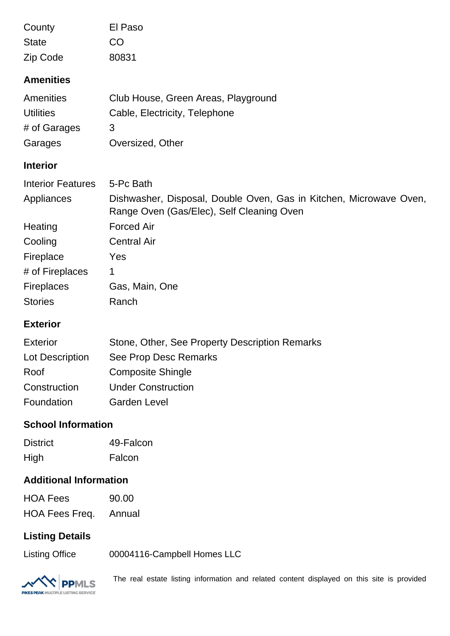| County<br><b>State</b><br>Zip Code<br><b>Amenities</b> | El Paso<br>CO<br>80831                                                                                          |  |
|--------------------------------------------------------|-----------------------------------------------------------------------------------------------------------------|--|
| <b>Amenities</b>                                       | Club House, Green Areas, Playground                                                                             |  |
| <b>Utilities</b><br># of Garages                       | Cable, Electricity, Telephone<br>3                                                                              |  |
| Garages                                                | Oversized, Other                                                                                                |  |
| <b>Interior</b>                                        |                                                                                                                 |  |
| <b>Interior Features</b>                               | 5-Pc Bath                                                                                                       |  |
| Appliances                                             | Dishwasher, Disposal, Double Oven, Gas in Kitchen, Microwave Oven,<br>Range Oven (Gas/Elec), Self Cleaning Oven |  |
| Heating                                                | <b>Forced Air</b>                                                                                               |  |
| Cooling                                                | <b>Central Air</b>                                                                                              |  |
| Fireplace                                              | Yes                                                                                                             |  |
| # of Fireplaces                                        | 1                                                                                                               |  |
| Fireplaces                                             | Gas, Main, One                                                                                                  |  |
| <b>Stories</b>                                         | Ranch                                                                                                           |  |
| <b>Exterior</b>                                        |                                                                                                                 |  |
| <b>Exterior</b>                                        | Stone, Other, See Property Description Remarks                                                                  |  |
| Lot Description                                        | See Prop Desc Remarks                                                                                           |  |
| Roof                                                   | <b>Composite Shingle</b>                                                                                        |  |
| Construction                                           | <b>Under Construction</b>                                                                                       |  |
| Foundation                                             | <b>Garden Level</b>                                                                                             |  |
| <b>School Information</b>                              |                                                                                                                 |  |
| <b>District</b>                                        | 49-Falcon                                                                                                       |  |
| High                                                   | Falcon                                                                                                          |  |

# **Additional Information**

| <b>HOA Fees</b> | 90.00  |
|-----------------|--------|
| HOA Fees Freq.  | Annual |

## **Listing Details**

Listing Office 00004116-Campbell Homes LLC



The real estate listing information and related content displayed on this site is provided